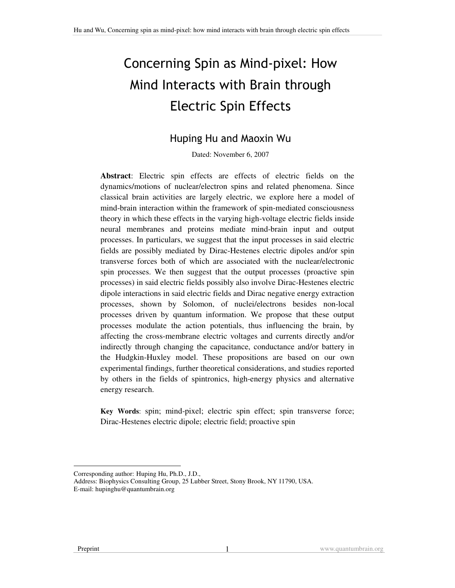# Concerning Spin as Mind-pixel: How Mind Interacts with Brain through **Electric Spin Effects**

## Huping Hu and Maoxin Wu

Dated: November 6, 2007

**Abstract**: Electric spin effects are effects of electric fields on the dynamics/motions of nuclear/electron spins and related phenomena. Since classical brain activities are largely electric, we explore here a model of mind-brain interaction within the framework of spin-mediated consciousness theory in which these effects in the varying high-voltage electric fields inside neural membranes and proteins mediate mind-brain input and output processes. In particulars, we suggest that the input processes in said electric fields are possibly mediated by Dirac-Hestenes electric dipoles and/or spin transverse forces both of which are associated with the nuclear/electronic spin processes. We then suggest that the output processes (proactive spin processes) in said electric fields possibly also involve Dirac-Hestenes electric dipole interactions in said electric fields and Dirac negative energy extraction processes, shown by Solomon, of nuclei/electrons besides non-local processes driven by quantum information. We propose that these output processes modulate the action potentials, thus influencing the brain, by affecting the cross-membrane electric voltages and currents directly and/or indirectly through changing the capacitance, conductance and/or battery in the Hudgkin-Huxley model. These propositions are based on our own experimental findings, further theoretical considerations, and studies reported by others in the fields of spintronics, high-energy physics and alternative energy research.

**Key Words**: spin; mind-pixel; electric spin effect; spin transverse force; Dirac-Hestenes electric dipole; electric field; proactive spin

Corresponding author: Huping Hu, Ph.D., J.D.,

Address: Biophysics Consulting Group, 25 Lubber Street, Stony Brook, NY 11790, USA. E-mail: hupinghu@quantumbrain.org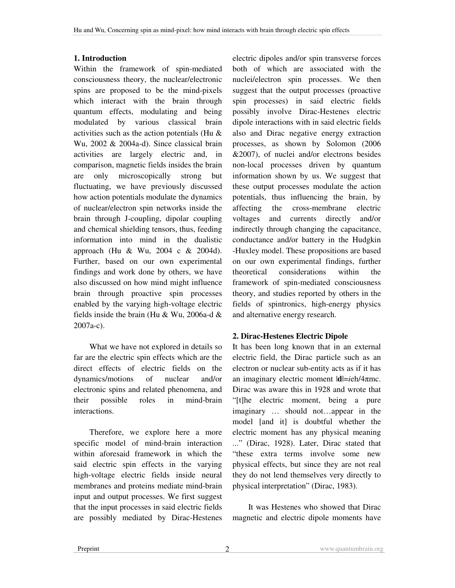#### **1. Introduction**

Within the framework of spin-mediated consciousness theory, the nuclear/electronic spins are proposed to be the mind-pixels which interact with the brain through quantum effects, modulating and being modulated by various classical brain activities such as the action potentials (Hu & Wu, 2002 & 2004a-d). Since classical brain activities are largely electric and, in comparison, magnetic fields insides the brain are only microscopically strong but fluctuating, we have previously discussed how action potentials modulate the dynamics of nuclear/electron spin networks inside the brain through J-coupling, dipolar coupling and chemical shielding tensors, thus, feeding information into mind in the dualistic approach (Hu & Wu, 2004 c & 2004d). Further, based on our own experimental findings and work done by others, we have also discussed on how mind might influence brain through proactive spin processes enabled by the varying high-voltage electric fields inside the brain (Hu & Wu, 2006a-d & 2007a-c).

What we have not explored in details so far are the electric spin effects which are the direct effects of electric fields on the dynamics/motions of nuclear and/or electronic spins and related phenomena, and their possible roles in mind-brain interactions.

Therefore, we explore here a more specific model of mind-brain interaction within aforesaid framework in which the said electric spin effects in the varying high-voltage electric fields inside neural membranes and proteins mediate mind-brain input and output processes. We first suggest that the input processes in said electric fields are possibly mediated by Dirac-Hestenes electric dipoles and/or spin transverse forces both of which are associated with the nuclei/electron spin processes. We then suggest that the output processes (proactive spin processes) in said electric fields possibly involve Dirac-Hestenes electric dipole interactions with in said electric fields also and Dirac negative energy extraction processes, as shown by Solomon (2006 &2007), of nuclei and/or electrons besides non-local processes driven by quantum information shown by us. We suggest that these output processes modulate the action potentials, thus influencing the brain, by affecting the cross-membrane electric voltages and currents directly and/or indirectly through changing the capacitance, conductance and/or battery in the Hudgkin -Huxley model. These propositions are based on our own experimental findings, further theoretical considerations within the framework of spin-mediated consciousness theory, and studies reported by others in the fields of spintronics, high-energy physics and alternative energy research.

#### **2. Dirac-Hestenes Electric Dipole**

It has been long known that in an external electric field, the Dirac particle such as an electron or nuclear sub-entity acts as if it has an imaginary electric moment |**d**|=*i*eh/4mc. Dirac was aware this in 1928 and wrote that "[t]he electric moment, being a pure imaginary … should not…appear in the model [and it] is doubtful whether the electric moment has any physical meaning ..." (Dirac, 1928). Later, Dirac stated that "these extra terms involve some new physical effects, but since they are not real they do not lend themselves very directly to physical interpretation" (Dirac, 1983).

It was Hestenes who showed that Dirac magnetic and electric dipole moments have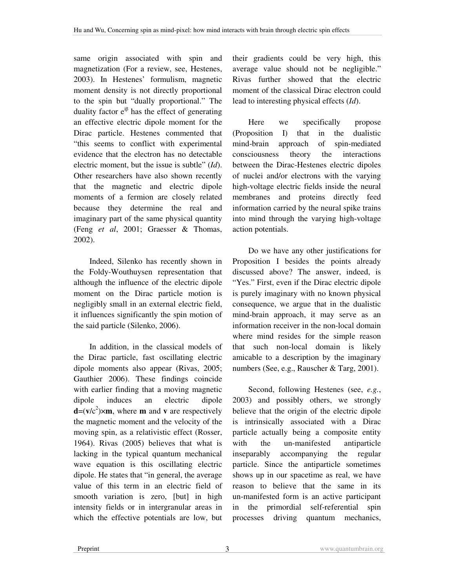same origin associated with spin and magnetization (For a review, see, Hestenes, 2003). In Hestenes' formulism, magnetic moment density is not directly proportional to the spin but "dually proportional." The duality factor  $e^{i\beta}$  has the effect of generating an effective electric dipole moment for the Dirac particle. Hestenes commented that "this seems to conflict with experimental evidence that the electron has no detectable electric moment, but the issue is subtle" (*Id*). Other researchers have also shown recently that the magnetic and electric dipole moments of a fermion are closely related because they determine the real and imaginary part of the same physical quantity (Feng *et al*, 2001; Graesser & Thomas, 2002).

Indeed, Silenko has recently shown in the Foldy-Wouthuysen representation that although the influence of the electric dipole moment on the Dirac particle motion is negligibly small in an external electric field, it influences significantly the spin motion of the said particle (Silenko, 2006).

In addition, in the classical models of the Dirac particle, fast oscillating electric dipole moments also appear (Rivas, 2005; Gauthier 2006). These findings coincide with earlier finding that a moving magnetic dipole induces an electric dipole  $d=(v/c^2) \times m$ , where **m** and **v** are respectively the magnetic moment and the velocity of the moving spin, as a relativistic effect (Rosser, 1964). Rivas (2005) believes that what is lacking in the typical quantum mechanical wave equation is this oscillating electric dipole. He states that "in general, the average value of this term in an electric field of smooth variation is zero, [but] in high intensity fields or in intergranular areas in which the effective potentials are low, but their gradients could be very high, this average value should not be negligible." Rivas further showed that the electric moment of the classical Dirac electron could lead to interesting physical effects (*Id*).

Here we specifically propose (Proposition I) that in the dualistic mind-brain approach of spin-mediated consciousness theory the interactions between the Dirac-Hestenes electric dipoles of nuclei and/or electrons with the varying high-voltage electric fields inside the neural membranes and proteins directly feed information carried by the neural spike trains into mind through the varying high-voltage action potentials.

Do we have any other justifications for Proposition I besides the points already discussed above? The answer, indeed, is "Yes." First, even if the Dirac electric dipole is purely imaginary with no known physical consequence, we argue that in the dualistic mind-brain approach, it may serve as an information receiver in the non-local domain where mind resides for the simple reason that such non-local domain is likely amicable to a description by the imaginary numbers (See, e.g., Rauscher & Targ, 2001).

Second, following Hestenes (see, *e.g.*, 2003) and possibly others, we strongly believe that the origin of the electric dipole is intrinsically associated with a Dirac particle actually being a composite entity with the un-manifested antiparticle inseparably accompanying the regular particle. Since the antiparticle sometimes shows up in our spacetime as real, we have reason to believe that the same in its un-manifested form is an active participant in the primordial self-referential spin processes driving quantum mechanics,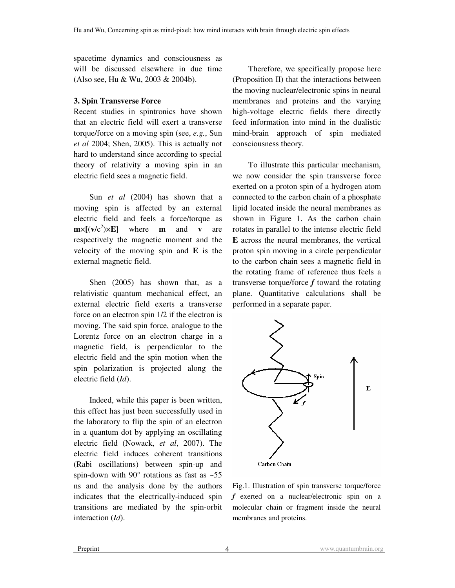spacetime dynamics and consciousness as will be discussed elsewhere in due time (Also see, Hu & Wu, 2003 & 2004b).

#### **3. Spin Transverse Force**

Recent studies in spintronics have shown that an electric field will exert a transverse torque/force on a moving spin (see, *e.g.*, Sun *et al* 2004; Shen, 2005). This is actually not hard to understand since according to special theory of relativity a moving spin in an electric field sees a magnetic field.

Sun *et al* (2004) has shown that a moving spin is affected by an external electric field and feels a force/torque as  $\mathbf{m} \times [(\mathbf{v}/c^2) \times \mathbf{E}]$  where **m** and **v** are respectively the magnetic moment and the velocity of the moving spin and **E** is the external magnetic field.

Shen (2005) has shown that, as a relativistic quantum mechanical effect, an external electric field exerts a transverse force on an electron spin 1/2 if the electron is moving. The said spin force, analogue to the Lorentz force on an electron charge in a magnetic field, is perpendicular to the electric field and the spin motion when the spin polarization is projected along the electric field (*Id*).

Indeed, while this paper is been written, this effect has just been successfully used in the laboratory to flip the spin of an electron in a quantum dot by applying an oscillating electric field (Nowack, *et al*, 2007). The electric field induces coherent transitions (Rabi oscillations) between spin-up and spin-down with  $90^{\circ}$  rotations as fast as  $\sim 55$ ns and the analysis done by the authors indicates that the electrically-induced spin transitions are mediated by the spin-orbit interaction (*Id*).

Therefore, we specifically propose here (Proposition II) that the interactions between the moving nuclear/electronic spins in neural membranes and proteins and the varying high-voltage electric fields there directly feed information into mind in the dualistic mind-brain approach of spin mediated consciousness theory.

To illustrate this particular mechanism, we now consider the spin transverse force exerted on a proton spin of a hydrogen atom connected to the carbon chain of a phosphate lipid located inside the neural membranes as shown in Figure 1. As the carbon chain rotates in parallel to the intense electric field **E** across the neural membranes, the vertical proton spin moving in a circle perpendicular to the carbon chain sees a magnetic field in the rotating frame of reference thus feels a transverse torque/force *f* toward the rotating plane. Quantitative calculations shall be performed in a separate paper.



Fig.1. Illustration of spin transverse torque/force *f* exerted on a nuclear/electronic spin on a molecular chain or fragment inside the neural membranes and proteins.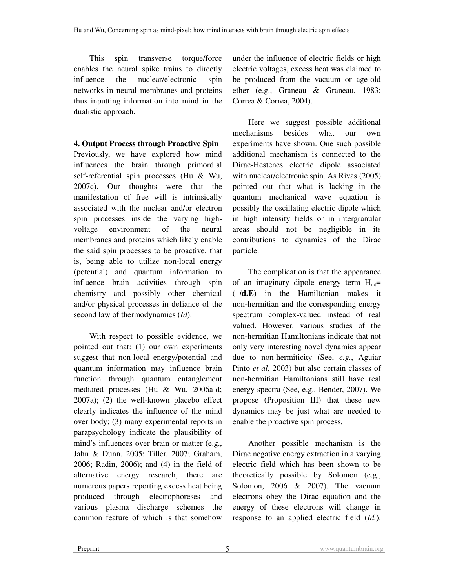This spin transverse torque/force enables the neural spike trains to directly influence the nuclear/electronic spin networks in neural membranes and proteins thus inputting information into mind in the dualistic approach.

#### **4. Output Process through Proactive Spin**

Previously, we have explored how mind influences the brain through primordial self-referential spin processes (Hu & Wu, 2007c). Our thoughts were that the manifestation of free will is intrinsically associated with the nuclear and/or electron spin processes inside the varying highvoltage environment of the neural membranes and proteins which likely enable the said spin processes to be proactive, that is, being able to utilize non-local energy (potential) and quantum information to influence brain activities through spin chemistry and possibly other chemical and/or physical processes in defiance of the second law of thermodynamics (*Id*).

With respect to possible evidence, we pointed out that: (1) our own experiments suggest that non-local energy/potential and quantum information may influence brain function through quantum entanglement mediated processes (Hu & Wu, 2006a-d; 2007a); (2) the well-known placebo effect clearly indicates the influence of the mind over body; (3) many experimental reports in parapsychology indicate the plausibility of mind's influences over brain or matter (e.g., Jahn & Dunn, 2005; Tiller, 2007; Graham, 2006; Radin, 2006); and (4) in the field of alternative energy research, there are numerous papers reporting excess heat being produced through electrophoreses and various plasma discharge schemes the common feature of which is that somehow

under the influence of electric fields or high electric voltages, excess heat was claimed to be produced from the vacuum or age-old ether (e.g., Graneau & Graneau, 1983; Correa & Correa, 2004).

Here we suggest possible additional mechanisms besides what our own experiments have shown. One such possible additional mechanism is connected to the Dirac-Hestenes electric dipole associated with nuclear/electronic spin. As Rivas (2005) pointed out that what is lacking in the quantum mechanical wave equation is possibly the oscillating electric dipole which in high intensity fields or in intergranular areas should not be negligible in its contributions to dynamics of the Dirac particle.

The complication is that the appearance of an imaginary dipole energy term  $H_{int}=$ (–*i***d.E)** in the Hamiltonian makes it non-hermitian and the corresponding energy spectrum complex-valued instead of real valued. However, various studies of the non-hermitian Hamiltonians indicate that not only very interesting novel dynamics appear due to non-hermiticity (See, *e.g.*, Aguiar Pinto *et al*, 2003) but also certain classes of non-hermitian Hamiltonians still have real energy spectra (See, e.g., Bender, 2007). We propose (Proposition III) that these new dynamics may be just what are needed to enable the proactive spin process.

Another possible mechanism is the Dirac negative energy extraction in a varying electric field which has been shown to be theoretically possible by Solomon (e.g., Solomon, 2006 & 2007). The vacuum electrons obey the Dirac equation and the energy of these electrons will change in response to an applied electric field (*Id.*).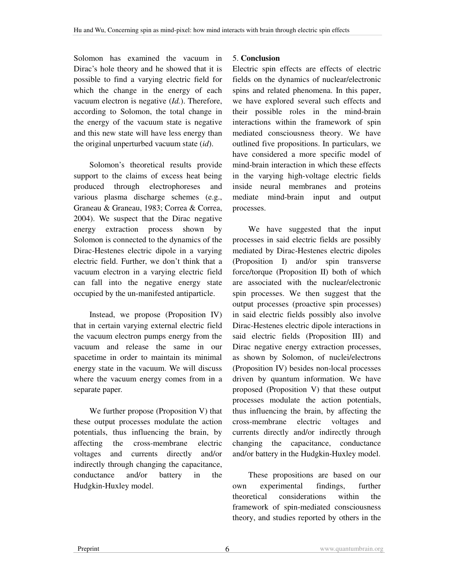Solomon has examined the vacuum in Dirac's hole theory and he showed that it is possible to find a varying electric field for which the change in the energy of each vacuum electron is negative (*Id.*). Therefore, according to Solomon, the total change in the energy of the vacuum state is negative and this new state will have less energy than the original unperturbed vacuum state (*id*).

Solomon's theoretical results provide support to the claims of excess heat being produced through electrophoreses and various plasma discharge schemes (e.g., Graneau & Graneau, 1983; Correa & Correa, 2004). We suspect that the Dirac negative energy extraction process shown by Solomon is connected to the dynamics of the Dirac-Hestenes electric dipole in a varying electric field. Further, we don't think that a vacuum electron in a varying electric field can fall into the negative energy state occupied by the un-manifested antiparticle.

Instead, we propose (Proposition IV) that in certain varying external electric field the vacuum electron pumps energy from the vacuum and release the same in our spacetime in order to maintain its minimal energy state in the vacuum. We will discuss where the vacuum energy comes from in a separate paper.

We further propose (Proposition V) that these output processes modulate the action potentials, thus influencing the brain, by affecting the cross-membrane electric voltages and currents directly and/or indirectly through changing the capacitance, conductance and/or battery in the Hudgkin-Huxley model.

### 5. **Conclusion**

Electric spin effects are effects of electric fields on the dynamics of nuclear/electronic spins and related phenomena. In this paper, we have explored several such effects and their possible roles in the mind-brain interactions within the framework of spin mediated consciousness theory. We have outlined five propositions. In particulars, we have considered a more specific model of mind-brain interaction in which these effects in the varying high-voltage electric fields inside neural membranes and proteins mediate mind-brain input and output processes.

We have suggested that the input processes in said electric fields are possibly mediated by Dirac-Hestenes electric dipoles (Proposition I) and/or spin transverse force/torque (Proposition II) both of which are associated with the nuclear/electronic spin processes. We then suggest that the output processes (proactive spin processes) in said electric fields possibly also involve Dirac-Hestenes electric dipole interactions in said electric fields (Proposition III) and Dirac negative energy extraction processes, as shown by Solomon, of nuclei/electrons (Proposition IV) besides non-local processes driven by quantum information. We have proposed (Proposition V) that these output processes modulate the action potentials, thus influencing the brain, by affecting the cross-membrane electric voltages and currents directly and/or indirectly through changing the capacitance, conductance and/or battery in the Hudgkin-Huxley model.

These propositions are based on our own experimental findings, further theoretical considerations within the framework of spin-mediated consciousness theory, and studies reported by others in the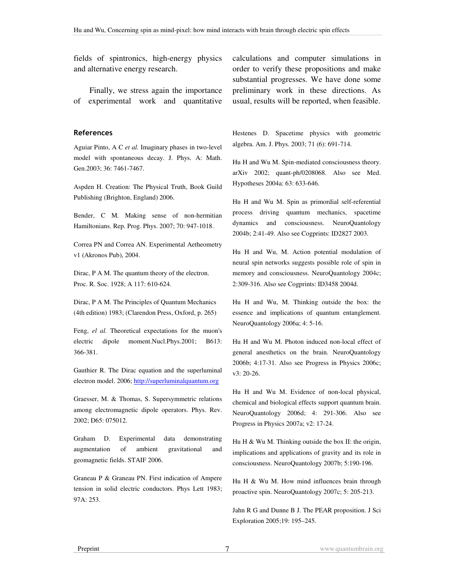fields of spintronics, high-energy physics and alternative energy research.

Finally, we stress again the importance of experimental work and quantitative

#### References

Aguiar Pinto, A C *et al.* Imaginary phases in two-level model with spontaneous decay. J. Phys. A: Math. Gen.2003; 36: 7461-7467.

Aspden H. Creation: The Physical Truth, Book Guild Publishing (Brighton, England) 2006.

Bender, C M. Making sense of non-hermitian Hamiltonians. Rep. Prog. Phys. 2007; 70: 947-1018.

Correa PN and Correa AN. Experimental Aetheometry v1 (Akronos Pub), 2004.

Dirac, P A M. The quantum theory of the electron. Proc. R. Soc. 1928; A 117: 610-624.

Dirac, P A M. The Principles of Quantum Mechanics (4th edition) 1983; (Clarendon Press, Oxford, p. 265)

Feng, *el al.* Theoretical expectations for the muon's electric dipole moment.Nucl.Phys.2001; B613: 366-381.

Gauthier R. The Dirac equation and the superluminal electron model. 2006; http://superluminalquantum.org

Graesser, M. & Thomas, S. Supersymmetric relations among electromagnetic dipole operators. Phys. Rev. 2002; D65: 075012.

Graham D. Experimental data demonstrating augmentation of ambient gravitational and geomagnetic fields. STAIF 2006.

Graneau P & Graneau PN. First indication of Ampere tension in solid electric conductors. Phys Lett 1983; 97A: 253.

calculations and computer simulations in order to verify these propositions and make substantial progresses. We have done some preliminary work in these directions. As usual, results will be reported, when feasible.

Hestenes D. Spacetime physics with geometric algebra. Am. J. Phys. 2003; 71 (6): 691-714.

Hu H and Wu M. Spin-mediated consciousness theory. arXiv 2002; quant-ph/0208068. Also see Med. Hypotheses 2004a: 63: 633-646.

Hu H and Wu M. Spin as primordial self-referential process driving quantum mechanics, spacetime dynamics and consciousness. NeuroQuantology 2004b; 2:41-49. Also see Cogprints: ID2827 2003.

Hu H and Wu, M. Action potential modulation of neural spin networks suggests possible role of spin in memory and consciousness. NeuroQuantology 2004c; 2:309-316. Also see Cogprints: ID3458 2004d.

Hu H and Wu, M. Thinking outside the box: the essence and implications of quantum entanglement. NeuroQuantology 2006a; 4: 5-16.

Hu H and Wu M. Photon induced non-local effect of general anesthetics on the brain. NeuroQuantology 2006b; 4:17-31. Also see Progress in Physics 2006c; v3: 20-26.

Hu H and Wu M. Evidence of non-local physical, chemical and biological effects support quantum brain. NeuroQuantology 2006d; 4: 291-306. Also see Progress in Physics 2007a; v2: 17-24.

Hu H  $\&$  Wu M. Thinking outside the box II: the origin, implications and applications of gravity and its role in consciousness. NeuroQuantology 2007b; 5:190-196.

Hu H & Wu M. How mind influences brain through proactive spin. NeuroQuantology 2007c; 5: 205-213.

Jahn R G and Dunne B J. The PEAR proposition. J Sci Exploration 2005;19: 195–245.